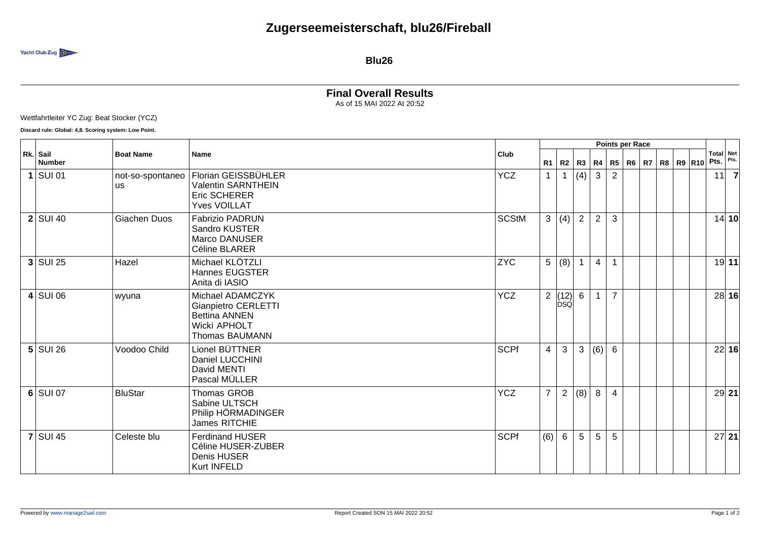

**Blu26**

## **Final Overall Results** As of 15 MAI 2022 At 20:52

Wettfahrtleiter YC Zug: Beat Stocker (YCZ)

**Discard rule: Global: 4,8. Scoring system: Low Point.**

|             |                           | <b>Boat Name</b><br><b>Name</b> |                                                                                                          |              | <b>Points per Race</b> |                                                                      |                |                |                |  |  |  |  |                              |                   |         |
|-------------|---------------------------|---------------------------------|----------------------------------------------------------------------------------------------------------|--------------|------------------------|----------------------------------------------------------------------|----------------|----------------|----------------|--|--|--|--|------------------------------|-------------------|---------|
|             | Rk. Sail<br><b>Number</b> |                                 |                                                                                                          | Club         |                        | $R1$ R2 R3                                                           |                | R4             |                |  |  |  |  | R5   R6   R7   R8   R9   R10 | Total Net<br>Pts. | Pts.    |
| $\mathbf 1$ | SUI 01                    | not-so-spontaneo<br><b>us</b>   | Florian GEISSBÜHLER<br>Valentin SARNTHEIN<br>Eric SCHERER<br><b>Yves VOILLAT</b>                         | <b>YCZ</b>   | $\mathbf{1}$           | $\mathbf{1}$                                                         | (4)            | $\mathbf{3}$   | 2              |  |  |  |  |                              | 11                |         |
|             | $2$ SUI 40                | Giachen Duos                    | <b>Fabrizio PADRUN</b><br>Sandro KUSTER<br>Marco DANUSER<br>Céline BLARER                                | <b>SCStM</b> | 3 <sup>1</sup>         | $\vert$ (4) $\vert$                                                  | $\overline{2}$ | $\overline{2}$ | 3              |  |  |  |  |                              |                   | 14 10   |
|             | $3$ SUI 25                | Hazel                           | Michael KLÖTZLI<br>Hannes EUGSTER<br>Anita di IASIO                                                      | <b>ZYC</b>   | 5 <sup>5</sup>         | (8)                                                                  |                | $\overline{4}$ |                |  |  |  |  |                              |                   | 19 11   |
|             | $4$ SUI 06                | wyuna                           | Michael ADAMCZYK<br>Gianpietro CERLETTI<br><b>Bettina ANNEN</b><br>Wicki APHOLT<br><b>Thomas BAUMANN</b> | <b>YCZ</b>   |                        | $\begin{array}{c c} 2 & (12) & 6 \\ \hline \text{DSQ} & \end{array}$ |                | $\mathbf{1}$   | $\overline{7}$ |  |  |  |  |                              |                   | 28 16   |
|             | $5$ SUI 26                | Voodoo Child                    | Lionel BÜTTNER<br>Daniel LUCCHINI<br>David MENTI<br>Pascal MÜLLER                                        | <b>SCPf</b>  | $\overline{4}$         | $\mathbf{3}$                                                         | 3              | (6)            | $6\phantom{1}$ |  |  |  |  |                              |                   | 22 16   |
|             | $6$ SUI 07                | <b>BluStar</b>                  | Thomas GROB<br>Sabine ULTSCH<br>Philip HÖRMADINGER<br>James RITCHIE                                      | <b>YCZ</b>   | $\overline{7}$         | $\overline{2}$                                                       | (8)            | 8              | $\overline{4}$ |  |  |  |  |                              |                   | $29$ 21 |
|             | $7$ SUI 45                | Celeste blu                     | <b>Ferdinand HUSER</b><br>Céline HUSER-ZUBER<br>Denis HUSER<br>Kurt INFELD                               | <b>SCPf</b>  | (6)                    | 6                                                                    | 5              | 5              | 5              |  |  |  |  |                              |                   | $27$ 21 |